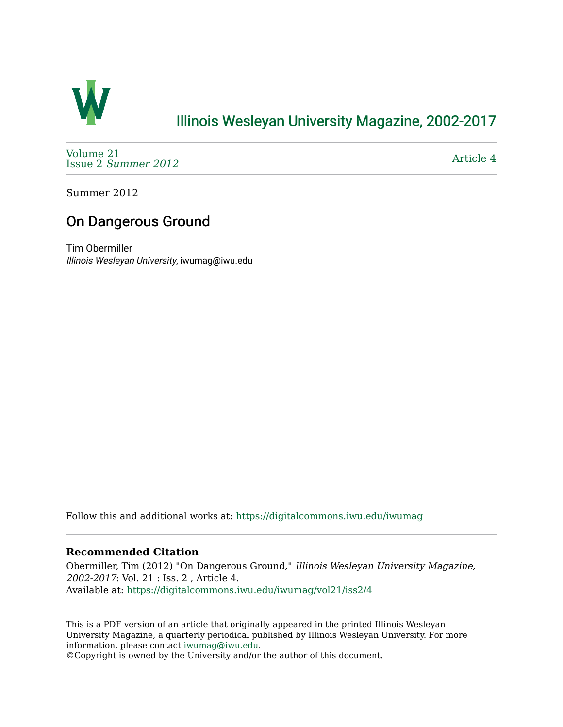

# [Illinois Wesleyan University Magazine, 2002-2017](https://digitalcommons.iwu.edu/iwumag)

[Volume 21](https://digitalcommons.iwu.edu/iwumag/vol21)  Issue 2 [Summer 2012](https://digitalcommons.iwu.edu/iwumag/vol21/iss2) 

[Article 4](https://digitalcommons.iwu.edu/iwumag/vol21/iss2/4) 

Summer 2012

# On Dangerous Ground

Tim Obermiller Illinois Wesleyan University, iwumag@iwu.edu

Follow this and additional works at: [https://digitalcommons.iwu.edu/iwumag](https://digitalcommons.iwu.edu/iwumag?utm_source=digitalcommons.iwu.edu%2Fiwumag%2Fvol21%2Fiss2%2F4&utm_medium=PDF&utm_campaign=PDFCoverPages) 

#### **Recommended Citation**

Obermiller, Tim (2012) "On Dangerous Ground," Illinois Wesleyan University Magazine, 2002-2017: Vol. 21 : Iss. 2 , Article 4. Available at: [https://digitalcommons.iwu.edu/iwumag/vol21/iss2/4](https://digitalcommons.iwu.edu/iwumag/vol21/iss2/4?utm_source=digitalcommons.iwu.edu%2Fiwumag%2Fvol21%2Fiss2%2F4&utm_medium=PDF&utm_campaign=PDFCoverPages)

This is a PDF version of an article that originally appeared in the printed Illinois Wesleyan University Magazine, a quarterly periodical published by Illinois Wesleyan University. For more information, please contact [iwumag@iwu.edu](mailto:iwumag@iwu.edu).

©Copyright is owned by the University and/or the author of this document.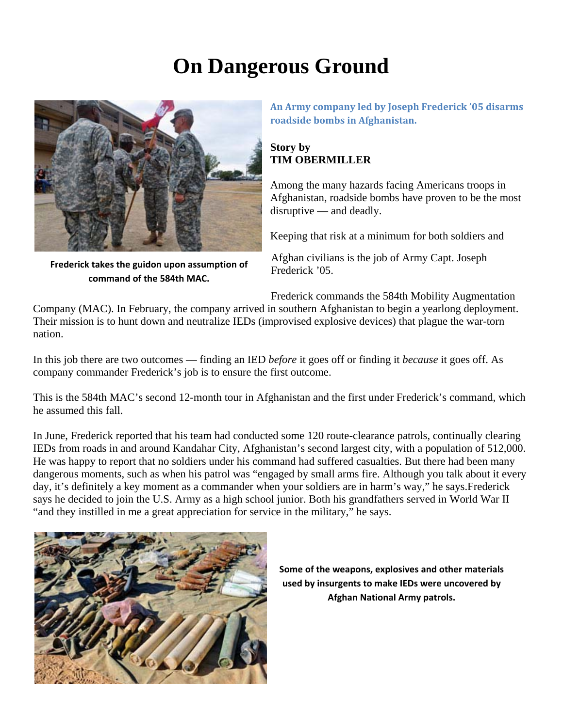# **On Dangerous Ground**



**Frederick takes the guidon upon assumption of command of the 584th MAC.**

**An Army company led by Joseph Frederick '05 disarms roadside bombs in Afghanistan.**

# **Story by TIM OBERMILLER**

Among the many hazards facing Americans troops in Afghanistan, roadside bombs have proven to be the most disruptive — and deadly.

Keeping that risk at a minimum for both soldiers and

Afghan civilians is the job of Army Capt. Joseph Frederick '05.

Frederick commands the 584th Mobility Augmentation

Company (MAC). In February, the company arrived in southern Afghanistan to begin a yearlong deployment. Their mission is to hunt down and neutralize IEDs (improvised explosive devices) that plague the war-torn nation.

In this job there are two outcomes — finding an IED *before* it goes off or finding it *because* it goes off. As company commander Frederick's job is to ensure the first outcome.

This is the 584th MAC's second 12-month tour in Afghanistan and the first under Frederick's command, which he assumed this fall.

In June, Frederick reported that his team had conducted some 120 route-clearance patrols, continually clearing IEDs from roads in and around Kandahar City, Afghanistan's second largest city, with a population of 512,000. He was happy to report that no soldiers under his command had suffered casualties. But there had been many dangerous moments, such as when his patrol was "engaged by small arms fire. Although you talk about it every day, it's definitely a key moment as a commander when your soldiers are in harm's way," he says.Frederick says he decided to join the U.S. Army as a high school junior. Both his grandfathers served in World War II "and they instilled in me a great appreciation for service in the military," he says.



**Some of the weapons, explosives and other materials used by insurgents to make IEDs were uncovered by Afghan National Army patrols.**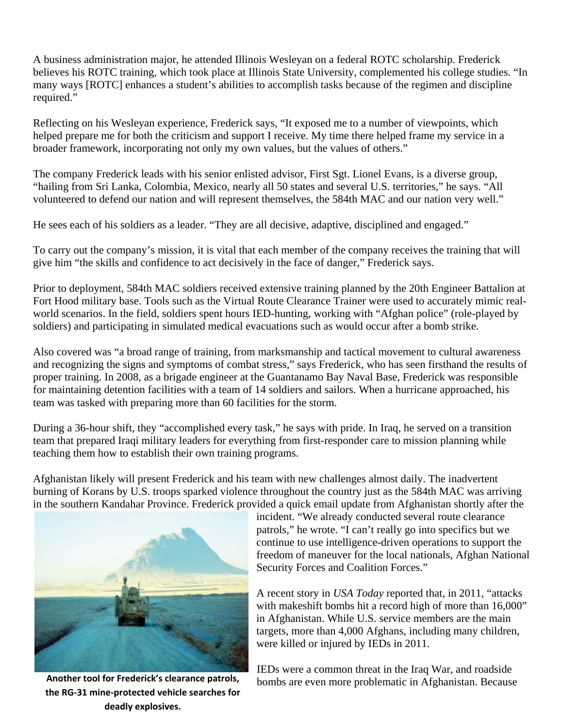A business administration major, he attended Illinois Wesleyan on a federal ROTC scholarship. Frederick believes his ROTC training, which took place at Illinois State University, complemented his college studies. "In many ways [ROTC] enhances a student's abilities to accomplish tasks because of the regimen and discipline required."

Reflecting on his Wesleyan experience, Frederick says, "It exposed me to a number of viewpoints, which helped prepare me for both the criticism and support I receive. My time there helped frame my service in a broader framework, incorporating not only my own values, but the values of others."

The company Frederick leads with his senior enlisted advisor, First Sgt. Lionel Evans, is a diverse group, "hailing from Sri Lanka, Colombia, Mexico, nearly all 50 states and several U.S. territories," he says. "All volunteered to defend our nation and will represent themselves, the 584th MAC and our nation very well."

He sees each of his soldiers as a leader. "They are all decisive, adaptive, disciplined and engaged."

To carry out the company's mission, it is vital that each member of the company receives the training that will give him "the skills and confidence to act decisively in the face of danger," Frederick says.

Prior to deployment, 584th MAC soldiers received extensive training planned by the 20th Engineer Battalion at Fort Hood military base. Tools such as the Virtual Route Clearance Trainer were used to accurately mimic realworld scenarios. In the field, soldiers spent hours IED-hunting, working with "Afghan police" (role-played by soldiers) and participating in simulated medical evacuations such as would occur after a bomb strike.

Also covered was "a broad range of training, from marksmanship and tactical movement to cultural awareness and recognizing the signs and symptoms of combat stress," says Frederick, who has seen firsthand the results of proper training. In 2008, as a brigade engineer at the Guantanamo Bay Naval Base, Frederick was responsible for maintaining detention facilities with a team of 14 soldiers and sailors. When a hurricane approached, his team was tasked with preparing more than 60 facilities for the storm.

During a 36-hour shift, they "accomplished every task," he says with pride. In Iraq, he served on a transition team that prepared Iraqi military leaders for everything from first-responder care to mission planning while teaching them how to establish their own training programs.

Afghanistan likely will present Frederick and his team with new challenges almost daily. The inadvertent burning of Korans by U.S. troops sparked violence throughout the country just as the 584th MAC was arriving in the southern Kandahar Province. Frederick provided a quick email update from Afghanistan shortly after the



**the RG‐31 mine‐protected vehicle searches for deadly explosives.**

incident. "We already conducted several route clearance patrols," he wrote. "I can't really go into specifics but we continue to use intelligence-driven operations to support the freedom of maneuver for the local nationals, Afghan National Security Forces and Coalition Forces."

A recent story in *USA Today* reported that, in 2011, "attacks with makeshift bombs hit a record high of more than 16,000" in Afghanistan. While U.S. service members are the main targets, more than 4,000 Afghans, including many children, were killed or injured by IEDs in 2011.

IEDs were a common threat in the Iraq War, and roadside Another tool for Frederick's clearance patrols, bombs are even more problematic in Afghanistan. Because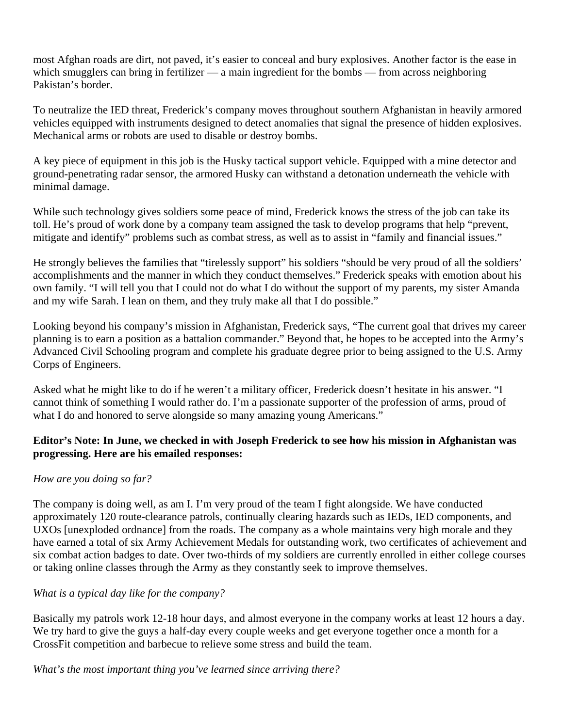most Afghan roads are dirt, not paved, it's easier to conceal and bury explosives. Another factor is the ease in which smugglers can bring in fertilizer — a main ingredient for the bombs — from across neighboring Pakistan's border.

To neutralize the IED threat, Frederick's company moves throughout southern Afghanistan in heavily armored vehicles equipped with instruments designed to detect anomalies that signal the presence of hidden explosives. Mechanical arms or robots are used to disable or destroy bombs.

A key piece of equipment in this job is the Husky tactical support vehicle. Equipped with a mine detector and ground-penetrating radar sensor, the armored Husky can withstand a detonation underneath the vehicle with minimal damage.

While such technology gives soldiers some peace of mind, Frederick knows the stress of the job can take its toll. He's proud of work done by a company team assigned the task to develop programs that help "prevent, mitigate and identify" problems such as combat stress, as well as to assist in "family and financial issues."

He strongly believes the families that "tirelessly support" his soldiers "should be very proud of all the soldiers' accomplishments and the manner in which they conduct themselves." Frederick speaks with emotion about his own family. "I will tell you that I could not do what I do without the support of my parents, my sister Amanda and my wife Sarah. I lean on them, and they truly make all that I do possible."

Looking beyond his company's mission in Afghanistan, Frederick says, "The current goal that drives my career planning is to earn a position as a battalion commander." Beyond that, he hopes to be accepted into the Army's Advanced Civil Schooling program and complete his graduate degree prior to being assigned to the U.S. Army Corps of Engineers.

Asked what he might like to do if he weren't a military officer, Frederick doesn't hesitate in his answer. "I cannot think of something I would rather do. I'm a passionate supporter of the profession of arms, proud of what I do and honored to serve alongside so many amazing young Americans."

## **Editor's Note: In June, we checked in with Joseph Frederick to see how his mission in Afghanistan was progressing. Here are his emailed responses:**

## *How are you doing so far?*

The company is doing well, as am I. I'm very proud of the team I fight alongside. We have conducted approximately 120 route-clearance patrols, continually clearing hazards such as IEDs, IED components, and UXOs [unexploded ordnance] from the roads. The company as a whole maintains very high morale and they have earned a total of six Army Achievement Medals for outstanding work, two certificates of achievement and six combat action badges to date. Over two-thirds of my soldiers are currently enrolled in either college courses or taking online classes through the Army as they constantly seek to improve themselves.

## *What is a typical day like for the company?*

Basically my patrols work 12-18 hour days, and almost everyone in the company works at least 12 hours a day. We try hard to give the guys a half-day every couple weeks and get everyone together once a month for a CrossFit competition and barbecue to relieve some stress and build the team.

*What's the most important thing you've learned since arriving there?*